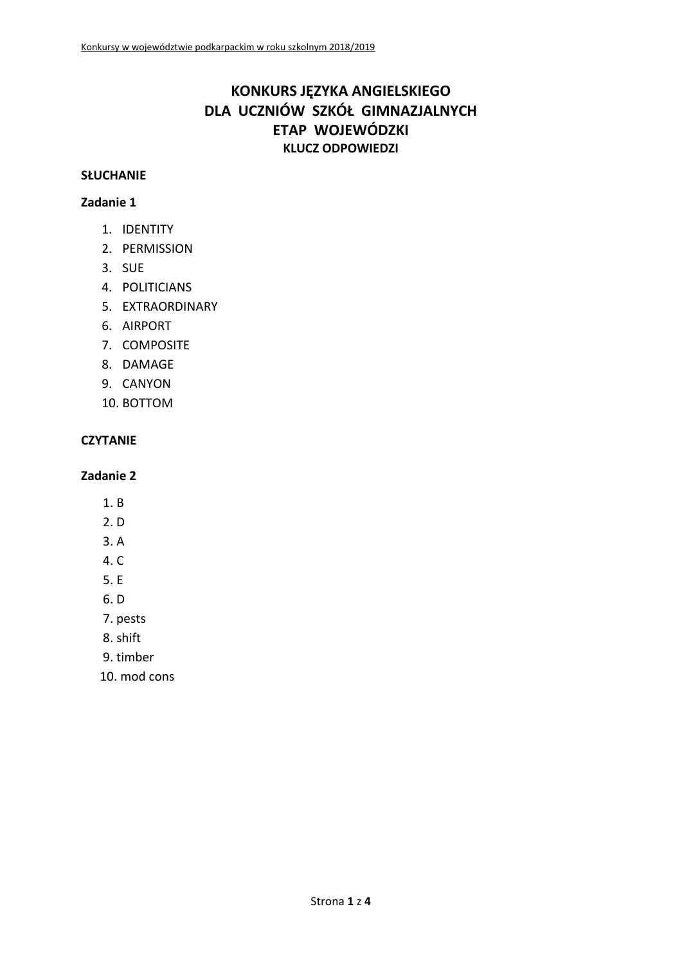# **KONKURS JĘZYKA ANGIELSKIEGO DLA UCZNIÓW SZKÓŁ GIMNAZJALNYCH ETAP WOJEWÓDZKI KLUCZ ODPOWIEDZI**

#### **SŁUCHANIE**

### **Zadanie 1**

- 1. IDENTITY
- 2. PERMISSION
- 3. SUE
- 4. POLITICIANS
- 5. EXTRAORDINARY
- 6. AIRPORT
- 7. COMPOSITE
- 8. DAMAGE
- 9. CANYON
- 10. BOTTOM

# **CZYTANIE**

- 1. B
- 2. D
- 3. A
- $4. C$
- 5. E
- 6. D
- 7. pests
- 8. shift
- 9. timber
- 10. mod cons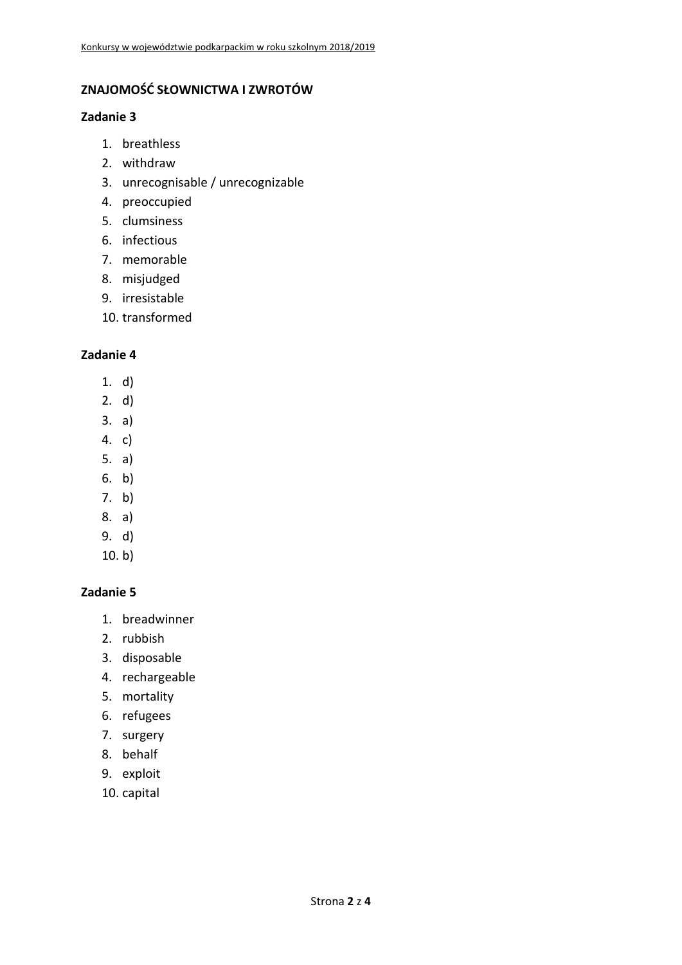# **ZNAJOMOŚĆ SŁOWNICTWA I ZWROTÓW**

#### **Zadanie 3**

- 1. breathless
- 2. withdraw
- 3. unrecognisable / unrecognizable
- 4. preoccupied
- 5. clumsiness
- 6. infectious
- 7. memorable
- 8. misjudged
- 9. irresistable
- 10. transformed

#### **Zadanie 4**

- 1. d)
- 2. d)
- 3. a)
- 4. c)
- 5. a)
- 6. b)
- 7. b)
- 8. a)
- 9. d)
- 10. b)

- 1. breadwinner
- 2. rubbish
- 3. disposable
- 4. rechargeable
- 5. mortality
- 6. refugees
- 7. surgery
- 8. behalf
- 9. exploit
- 10. capital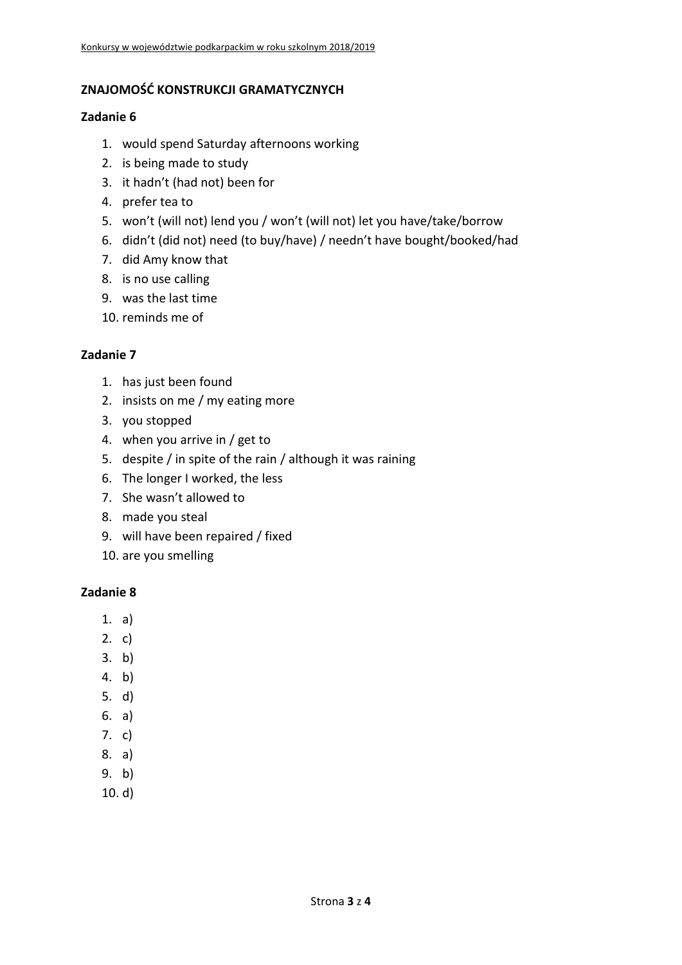### **ZNAJOMOŚĆ KONSTRUKCJI GRAMATYCZNYCH**

#### **Zadanie 6**

- 1. would spend Saturday afternoons working
- 2. is being made to study
- 3. it hadn't (had not) been for
- 4. prefer tea to
- 5. won't (will not) lend you / won't (will not) let you have/take/borrow
- 6. didn't (did not) need (to buy/have) / needn't have bought/booked/had
- 7. did Amy know that
- 8. is no use calling
- 9. was the last time
- 10. reminds me of

# **Zadanie 7**

- 1. has just been found
- 2. insists on me / my eating more
- 3. you stopped
- 4. when you arrive in / get to
- 5. despite / in spite of the rain / although it was raining
- 6. The longer I worked, the less
- 7. She wasn't allowed to
- 8. made you steal
- 9. will have been repaired / fixed
- 10. are you smelling

- 1. a)
- 2. c)
- 3. b)
- 4. b)
- 5. d)
- 6. a)
- 7. c)
- 8. a)
- 9. b)
- 
- 10. d)